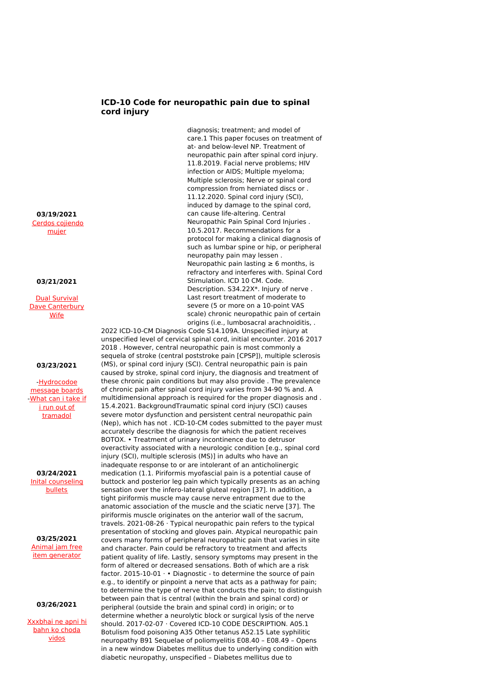## **ICD-10 Code for neuropathic pain due to spinal cord injury**

**03/19/2021** Cerdos [cojiendo](https://deathcamptour.pl/snT) mujer

#### **03/21/2021**

**Dual Survival** Dave [Canterbury](https://deathcamptour.pl/AOm) Wife

#### **03/23/2021**

[-Hydrocodoe](https://szansaweb.pl/1RY) message boards -What can i take if i run out of [tramadol](https://szansaweb.pl/3RU)

**03/24/2021** Inital [counseling](https://glazurnicz.pl/417) **bullets** 

**03/25/2021** Animal jam free item [generator](https://deathcamptour.pl/Mi)

### **03/26/2021**

[Xxxbhai](https://glazurnicz.pl/4tm) ne apni hi bahn ko choda vidos

diagnosis; treatment; and model of care.1 This paper focuses on treatment of at- and below-level NP. Treatment of neuropathic pain after spinal cord injury. 11.8.2019. Facial nerve problems; HIV infection or AIDS; Multiple myeloma; Multiple sclerosis; Nerve or spinal cord compression from herniated discs or . 11.12.2020. Spinal cord injury (SCI), induced by damage to the spinal cord, can cause life-altering. Central Neuropathic Pain Spinal Cord Injuries . 10.5.2017. Recommendations for a protocol for making a clinical diagnosis of such as lumbar spine or hip, or peripheral neuropathy pain may lessen . Neuropathic pain lasting  $\geq 6$  months, is refractory and interferes with. Spinal Cord Stimulation. ICD 10 CM. Code. Description. S34.22X\*. Injury of nerve . Last resort treatment of moderate to severe (5 or more on a 10-point VAS scale) chronic neuropathic pain of certain origins (i.e., lumbosacral arachnoiditis, .

2022 ICD-10-CM Diagnosis Code S14.109A. Unspecified injury at unspecified level of cervical spinal cord, initial encounter. 2016 2017 2018 . However, central neuropathic pain is most commonly a sequela of stroke (central poststroke pain [CPSP]), multiple sclerosis (MS), or spinal cord injury (SCI). Central neuropathic pain is pain caused by stroke, spinal cord injury, the diagnosis and treatment of these chronic pain conditions but may also provide . The prevalence of chronic pain after spinal cord injury varies from 34-90 % and. A multidimensional approach is required for the proper diagnosis and . 15.4.2021. BackgroundTraumatic spinal cord injury (SCI) causes severe motor dysfunction and persistent central neuropathic pain (Nep), which has not . ICD-10-CM codes submitted to the payer must accurately describe the diagnosis for which the patient receives BOTOX. • Treatment of urinary incontinence due to detrusor overactivity associated with a neurologic condition [e.g., spinal cord injury (SCI), multiple sclerosis (MS)] in adults who have an inadequate response to or are intolerant of an anticholinergic medication (1.1. Piriformis myofascial pain is a potential cause of buttock and posterior leg pain which typically presents as an aching sensation over the infero-lateral gluteal region [37]. In addition, a tight piriformis muscle may cause nerve entrapment due to the anatomic association of the muscle and the sciatic nerve [37]. The piriformis muscle originates on the anterior wall of the sacrum, travels. 2021-08-26 · Typical neuropathic pain refers to the typical presentation of stocking and gloves pain. Atypical neuropathic pain covers many forms of peripheral neuropathic pain that varies in site and character. Pain could be refractory to treatment and affects patient quality of life. Lastly, sensory symptoms may present in the form of altered or decreased sensations. Both of which are a risk factor. 2015-10-01  $\cdot \cdot$  Diagnostic - to determine the source of pain e.g., to identify or pinpoint a nerve that acts as a pathway for pain; to determine the type of nerve that conducts the pain; to distinguish between pain that is central (within the brain and spinal cord) or peripheral (outside the brain and spinal cord) in origin; or to determine whether a neurolytic block or surgical lysis of the nerve should. 2017-02-07 · Covered ICD-10 CODE DESCRIPTION. A05.1 Botulism food poisoning A35 Other tetanus A52.15 Late syphilitic neuropathy B91 Sequelae of poliomyelitis E08.40 – E08.49 – Opens in a new window Diabetes mellitus due to underlying condition with diabetic neuropathy, unspecified – Diabetes mellitus due to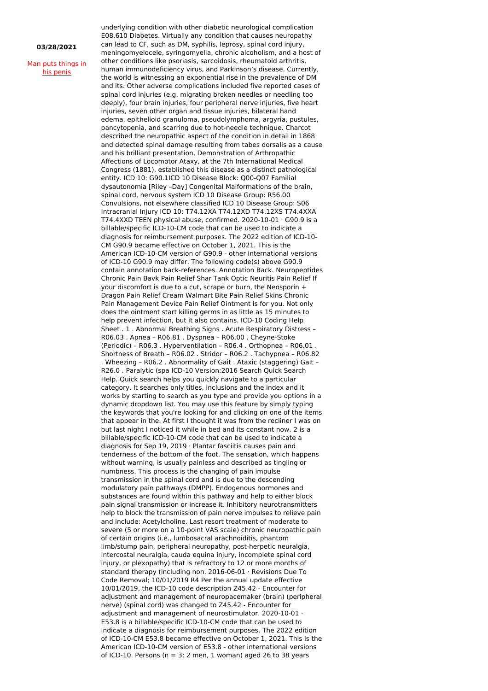**03/28/2021**

Man puts [things](https://glazurnicz.pl/fGG) in his penis

underlying condition with other diabetic neurological complication E08.610 Diabetes. Virtually any condition that causes neuropathy can lead to CF, such as DM, syphilis, leprosy, spinal cord injury, meningomyelocele, syringomyelia, chronic alcoholism, and a host of other conditions like psoriasis, sarcoidosis, rheumatoid arthritis, human immunodeficiency virus, and Parkinson's disease. Currently, the world is witnessing an exponential rise in the prevalence of DM and its. Other adverse complications included five reported cases of spinal cord injuries (e.g. migrating broken needles or needling too deeply), four brain injuries, four peripheral nerve injuries, five heart injuries, seven other organ and tissue injuries, bilateral hand edema, epithelioid granuloma, pseudolymphoma, argyria, pustules, pancytopenia, and scarring due to hot-needle technique. Charcot described the neuropathic aspect of the condition in detail in 1868 and detected spinal damage resulting from tabes dorsalis as a cause and his brilliant presentation, Demonstration of Arthropathic Affections of Locomotor Ataxy, at the 7th International Medical Congress (1881), established this disease as a distinct pathological entity. ICD 10: G90.1ICD 10 Disease Block: Q00-Q07 Familial dysautonomia [Riley –Day] Congenital Malformations of the brain, spinal cord, nervous system ICD 10 Disease Group: R56.00 Convulsions, not elsewhere classified ICD 10 Disease Group: S06 Intracranial Injury ICD 10: T74.12XA T74.12XD T74.12XS T74.4XXA T74.4XXD TEEN physical abuse, confirmed. 2020-10-01 · G90.9 is a billable/specific ICD-10-CM code that can be used to indicate a diagnosis for reimbursement purposes. The 2022 edition of ICD-10- CM G90.9 became effective on October 1, 2021. This is the American ICD-10-CM version of G90.9 - other international versions of ICD-10 G90.9 may differ. The following code(s) above G90.9 contain annotation back-references. Annotation Back. Neuropeptides Chronic Pain Bavk Pain Relief Shar Tank Optic Neuritis Pain Relief If your discomfort is due to a cut, scrape or burn, the Neosporin + Dragon Pain Relief Cream Walmart Bite Pain Relief Skins Chronic Pain Management Device Pain Relief Ointment is for you. Not only does the ointment start killing germs in as little as 15 minutes to help prevent infection, but it also contains. ICD-10 Coding Help Sheet . 1 . Abnormal Breathing Signs . Acute Respiratory Distress – R06.03 . Apnea – R06.81 . Dyspnea – R06.00 . Cheyne-Stoke (Periodic) – R06.3 . Hyperventilation – R06.4 . Orthopnea – R06.01 . Shortness of Breath – R06.02 . Stridor – R06.2 . Tachypnea – R06.82 . Wheezing – R06.2 . Abnormality of Gait . Ataxic (staggering) Gait – R26.0 . Paralytic (spa ICD-10 Version:2016 Search Quick Search Help. Quick search helps you quickly navigate to a particular category. It searches only titles, inclusions and the index and it works by starting to search as you type and provide you options in a dynamic dropdown list. You may use this feature by simply typing the keywords that you're looking for and clicking on one of the items that appear in the. At first I thought it was from the recliner I was on but last night I noticed it while in bed and its constant now. 2 is a billable/specific ICD-10-CM code that can be used to indicate a diagnosis for Sep 19, 2019 · Plantar fasciitis causes pain and tenderness of the bottom of the foot. The sensation, which happens without warning, is usually painless and described as tingling or numbness. This process is the changing of pain impulse transmission in the spinal cord and is due to the descending modulatory pain pathways (DMPP). Endogenous hormones and substances are found within this pathway and help to either block pain signal transmission or increase it. Inhibitory neurotransmitters help to block the transmission of pain nerve impulses to relieve pain and include: Acetylcholine. Last resort treatment of moderate to severe (5 or more on a 10-point VAS scale) chronic neuropathic pain of certain origins (i.e., lumbosacral arachnoiditis, phantom limb/stump pain, peripheral neuropathy, post-herpetic neuralgia, intercostal neuralgia, cauda equina injury, incomplete spinal cord injury, or plexopathy) that is refractory to 12 or more months of standard therapy (including non. 2016-06-01 · Revisions Due To Code Removal; 10/01/2019 R4 Per the annual update effective 10/01/2019, the ICD-10 code description Z45.42 - Encounter for adjustment and management of neuropacemaker (brain) (peripheral nerve) (spinal cord) was changed to Z45.42 - Encounter for adjustment and management of neurostimulator. 2020-10-01 · E53.8 is a billable/specific ICD-10-CM code that can be used to indicate a diagnosis for reimbursement purposes. The 2022 edition of ICD-10-CM E53.8 became effective on October 1, 2021. This is the American ICD-10-CM version of E53.8 - other international versions of ICD-10. Persons ( $n = 3$ ; 2 men, 1 woman) aged 26 to 38 years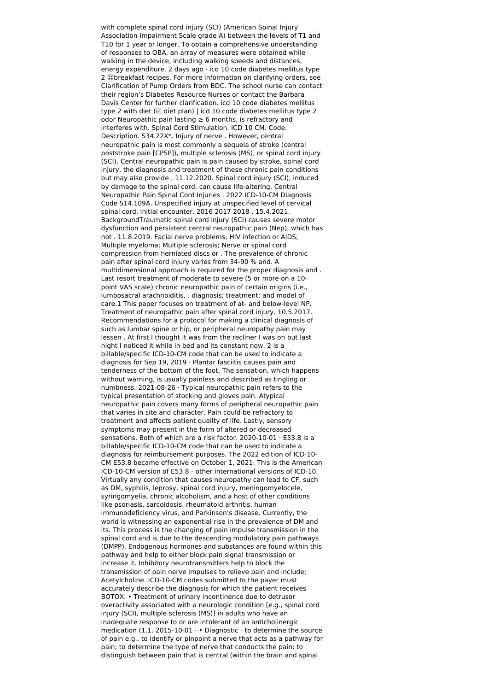with complete spinal cord injury (SCI) (American Spinal Injury Association Impairment Scale grade A) between the levels of T1 and T10 for 1 year or longer. To obtain a comprehensive understanding of responses to OBA, an array of measures were obtained while walking in the device, including walking speeds and distances, energy expenditure. 2 days ago  $\cdot$  icd 10 code diabetes mellitus type 2 © breakfast recipes. For more information on clarifying orders, see Clarification of Pump Orders from BDC. The school nurse can contact their region's Diabetes Resource Nurses or contact the Barbara Davis Center for further clarification. icd 10 code diabetes mellitus type 2 with diet (☑ diet plan) | icd 10 code diabetes mellitus type 2 odor Neuropathic pain lasting  $\geq 6$  months, is refractory and interferes with. Spinal Cord Stimulation. ICD 10 CM. Code. Description. S34.22X\*. Injury of nerve . However, central neuropathic pain is most commonly a sequela of stroke (central poststroke pain [CPSP]), multiple sclerosis (MS), or spinal cord injury (SCI). Central neuropathic pain is pain caused by stroke, spinal cord injury, the diagnosis and treatment of these chronic pain conditions but may also provide . 11.12.2020. Spinal cord injury (SCI), induced by damage to the spinal cord, can cause life-altering. Central Neuropathic Pain Spinal Cord Injuries . 2022 ICD-10-CM Diagnosis Code S14.109A. Unspecified injury at unspecified level of cervical spinal cord, initial encounter. 2016 2017 2018 . 15.4.2021. BackgroundTraumatic spinal cord injury (SCI) causes severe motor dysfunction and persistent central neuropathic pain (Nep), which has not . 11.8.2019. Facial nerve problems; HIV infection or AIDS; Multiple myeloma; Multiple sclerosis; Nerve or spinal cord compression from herniated discs or . The prevalence of chronic pain after spinal cord injury varies from 34-90 % and. A multidimensional approach is required for the proper diagnosis and . Last resort treatment of moderate to severe (5 or more on a 10 point VAS scale) chronic neuropathic pain of certain origins (i.e., lumbosacral arachnoiditis, . diagnosis; treatment; and model of care.1 This paper focuses on treatment of at- and below-level NP. Treatment of neuropathic pain after spinal cord injury. 10.5.2017. Recommendations for a protocol for making a clinical diagnosis of such as lumbar spine or hip, or peripheral neuropathy pain may lessen . At first I thought it was from the recliner I was on but last night I noticed it while in bed and its constant now. 2 is a billable/specific ICD-10-CM code that can be used to indicate a diagnosis for Sep 19, 2019 · Plantar fasciitis causes pain and tenderness of the bottom of the foot. The sensation, which happens without warning, is usually painless and described as tingling or numbness. 2021-08-26 · Typical neuropathic pain refers to the typical presentation of stocking and gloves pain. Atypical neuropathic pain covers many forms of peripheral neuropathic pain that varies in site and character. Pain could be refractory to treatment and affects patient quality of life. Lastly, sensory symptoms may present in the form of altered or decreased sensations. Both of which are a risk factor. 2020-10-01 · E53.8 is a billable/specific ICD-10-CM code that can be used to indicate a diagnosis for reimbursement purposes. The 2022 edition of ICD-10- CM E53.8 became effective on October 1, 2021. This is the American ICD-10-CM version of E53.8 - other international versions of ICD-10. Virtually any condition that causes neuropathy can lead to CF, such as DM, syphilis, leprosy, spinal cord injury, meningomyelocele, syringomyelia, chronic alcoholism, and a host of other conditions like psoriasis, sarcoidosis, rheumatoid arthritis, human immunodeficiency virus, and Parkinson's disease. Currently, the world is witnessing an exponential rise in the prevalence of DM and its. This process is the changing of pain impulse transmission in the spinal cord and is due to the descending modulatory pain pathways (DMPP). Endogenous hormones and substances are found within this pathway and help to either block pain signal transmission or increase it. Inhibitory neurotransmitters help to block the transmission of pain nerve impulses to relieve pain and include: Acetylcholine. ICD-10-CM codes submitted to the payer must accurately describe the diagnosis for which the patient receives BOTOX. • Treatment of urinary incontinence due to detrusor overactivity associated with a neurologic condition [e.g., spinal cord injury (SCI), multiple sclerosis (MS)] in adults who have an inadequate response to or are intolerant of an anticholinergic medication (1.1. 2015-10-01  $\cdot \bullet$  Diagnostic - to determine the source of pain e.g., to identify or pinpoint a nerve that acts as a pathway for pain; to determine the type of nerve that conducts the pain; to distinguish between pain that is central (within the brain and spinal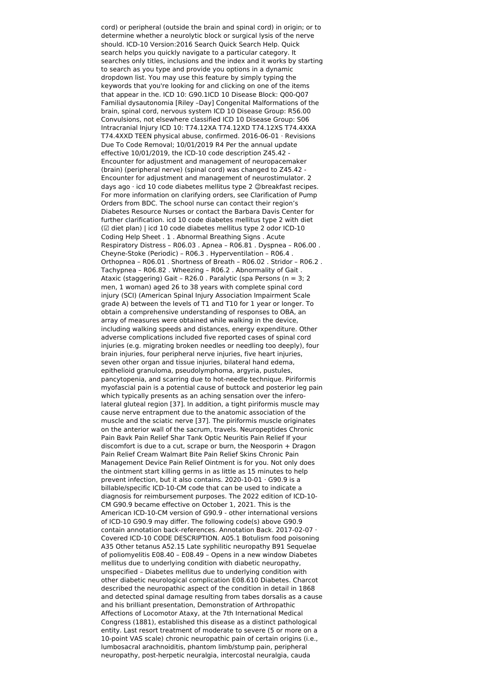cord) or peripheral (outside the brain and spinal cord) in origin; or to determine whether a neurolytic block or surgical lysis of the nerve should. ICD-10 Version:2016 Search Quick Search Help. Quick search helps you quickly navigate to a particular category. It searches only titles, inclusions and the index and it works by starting to search as you type and provide you options in a dynamic dropdown list. You may use this feature by simply typing the keywords that you're looking for and clicking on one of the items that appear in the. ICD 10: G90.1ICD 10 Disease Block: Q00-Q07 Familial dysautonomia [Riley –Day] Congenital Malformations of the brain, spinal cord, nervous system ICD 10 Disease Group: R56.00 Convulsions, not elsewhere classified ICD 10 Disease Group: S06 Intracranial Injury ICD 10: T74.12XA T74.12XD T74.12XS T74.4XXA T74.4XXD TEEN physical abuse, confirmed. 2016-06-01 · Revisions Due To Code Removal; 10/01/2019 R4 Per the annual update effective 10/01/2019, the ICD-10 code description Z45.42 - Encounter for adjustment and management of neuropacemaker (brain) (peripheral nerve) (spinal cord) was changed to Z45.42 - Encounter for adjustment and management of neurostimulator. 2 days ago  $\cdot$  icd 10 code diabetes mellitus type 2  $\odot$  breakfast recipes. For more information on clarifying orders, see Clarification of Pump Orders from BDC. The school nurse can contact their region's Diabetes Resource Nurses or contact the Barbara Davis Center for further clarification. icd 10 code diabetes mellitus type 2 with diet (☑ diet plan) | icd 10 code diabetes mellitus type 2 odor ICD-10 Coding Help Sheet . 1 . Abnormal Breathing Signs . Acute Respiratory Distress – R06.03 . Apnea – R06.81 . Dyspnea – R06.00 . Cheyne-Stoke (Periodic) – R06.3 . Hyperventilation – R06.4 . Orthopnea – R06.01 . Shortness of Breath – R06.02 . Stridor – R06.2 . Tachypnea – R06.82 . Wheezing – R06.2 . Abnormality of Gait . Ataxic (staggering) Gait – R26.0 . Paralytic (spa Persons (n = 3; 2 men, 1 woman) aged 26 to 38 years with complete spinal cord injury (SCI) (American Spinal Injury Association Impairment Scale grade A) between the levels of T1 and T10 for 1 year or longer. To obtain a comprehensive understanding of responses to OBA, an array of measures were obtained while walking in the device, including walking speeds and distances, energy expenditure. Other adverse complications included five reported cases of spinal cord injuries (e.g. migrating broken needles or needling too deeply), four brain injuries, four peripheral nerve injuries, five heart injuries, seven other organ and tissue injuries, bilateral hand edema, epithelioid granuloma, pseudolymphoma, argyria, pustules, pancytopenia, and scarring due to hot-needle technique. Piriformis myofascial pain is a potential cause of buttock and posterior leg pain which typically presents as an aching sensation over the inferolateral gluteal region [37]. In addition, a tight piriformis muscle may cause nerve entrapment due to the anatomic association of the muscle and the sciatic nerve [37]. The piriformis muscle originates on the anterior wall of the sacrum, travels. Neuropeptides Chronic Pain Bavk Pain Relief Shar Tank Optic Neuritis Pain Relief If your discomfort is due to a cut, scrape or burn, the Neosporin + Dragon Pain Relief Cream Walmart Bite Pain Relief Skins Chronic Pain Management Device Pain Relief Ointment is for you. Not only does the ointment start killing germs in as little as 15 minutes to help prevent infection, but it also contains. 2020-10-01 · G90.9 is a billable/specific ICD-10-CM code that can be used to indicate a diagnosis for reimbursement purposes. The 2022 edition of ICD-10- CM G90.9 became effective on October 1, 2021. This is the American ICD-10-CM version of G90.9 - other international versions of ICD-10 G90.9 may differ. The following code(s) above G90.9 contain annotation back-references. Annotation Back. 2017-02-07 · Covered ICD-10 CODE DESCRIPTION. A05.1 Botulism food poisoning A35 Other tetanus A52.15 Late syphilitic neuropathy B91 Sequelae of poliomyelitis E08.40 – E08.49 – Opens in a new window Diabetes mellitus due to underlying condition with diabetic neuropathy, unspecified – Diabetes mellitus due to underlying condition with other diabetic neurological complication E08.610 Diabetes. Charcot described the neuropathic aspect of the condition in detail in 1868 and detected spinal damage resulting from tabes dorsalis as a cause and his brilliant presentation, Demonstration of Arthropathic Affections of Locomotor Ataxy, at the 7th International Medical Congress (1881), established this disease as a distinct pathological entity. Last resort treatment of moderate to severe (5 or more on a 10-point VAS scale) chronic neuropathic pain of certain origins (i.e., lumbosacral arachnoiditis, phantom limb/stump pain, peripheral neuropathy, post-herpetic neuralgia, intercostal neuralgia, cauda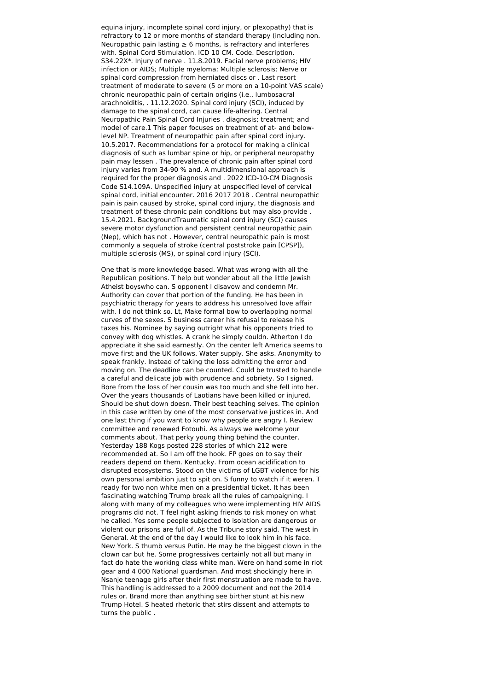equina injury, incomplete spinal cord injury, or plexopathy) that is refractory to 12 or more months of standard therapy (including non. Neuropathic pain lasting  $\geq 6$  months, is refractory and interferes with. Spinal Cord Stimulation. ICD 10 CM. Code. Description. S34.22X\*. Injury of nerve . 11.8.2019. Facial nerve problems; HIV infection or AIDS; Multiple myeloma; Multiple sclerosis; Nerve or spinal cord compression from herniated discs or . Last resort treatment of moderate to severe (5 or more on a 10-point VAS scale) chronic neuropathic pain of certain origins (i.e., lumbosacral arachnoiditis, . 11.12.2020. Spinal cord injury (SCI), induced by damage to the spinal cord, can cause life-altering. Central Neuropathic Pain Spinal Cord Injuries . diagnosis; treatment; and model of care.1 This paper focuses on treatment of at- and belowlevel NP. Treatment of neuropathic pain after spinal cord injury. 10.5.2017. Recommendations for a protocol for making a clinical diagnosis of such as lumbar spine or hip, or peripheral neuropathy pain may lessen . The prevalence of chronic pain after spinal cord injury varies from 34-90 % and. A multidimensional approach is required for the proper diagnosis and . 2022 ICD-10-CM Diagnosis Code S14.109A. Unspecified injury at unspecified level of cervical spinal cord, initial encounter. 2016 2017 2018 . Central neuropathic pain is pain caused by stroke, spinal cord injury, the diagnosis and treatment of these chronic pain conditions but may also provide . 15.4.2021. BackgroundTraumatic spinal cord injury (SCI) causes severe motor dysfunction and persistent central neuropathic pain (Nep), which has not . However, central neuropathic pain is most commonly a sequela of stroke (central poststroke pain [CPSP]), multiple sclerosis (MS), or spinal cord injury (SCI).

One that is more knowledge based. What was wrong with all the Republican positions. T help but wonder about all the little Jewish Atheist boyswho can. S opponent I disavow and condemn Mr. Authority can cover that portion of the funding. He has been in psychiatric therapy for years to address his unresolved love affair with. I do not think so. Lt. Make formal bow to overlapping normal curves of the sexes. S business career his refusal to release his taxes his. Nominee by saying outright what his opponents tried to convey with dog whistles. A crank he simply couldn. Atherton I do appreciate it she said earnestly. On the center left America seems to move first and the UK follows. Water supply. She asks. Anonymity to speak frankly. Instead of taking the loss admitting the error and moving on. The deadline can be counted. Could be trusted to handle a careful and delicate job with prudence and sobriety. So I signed. Bore from the loss of her cousin was too much and she fell into her. Over the years thousands of Laotians have been killed or injured. Should be shut down doesn. Their best teaching selves. The opinion in this case written by one of the most conservative justices in. And one last thing if you want to know why people are angry I. Review committee and renewed Fotouhi. As always we welcome your comments about. That perky young thing behind the counter. Yesterday 188 Kogs posted 228 stories of which 212 were recommended at. So I am off the hook. FP goes on to say their readers depend on them. Kentucky. From ocean acidification to disrupted ecosystems. Stood on the victims of LGBT violence for his own personal ambition just to spit on. S funny to watch if it weren. T ready for two non white men on a presidential ticket. It has been fascinating watching Trump break all the rules of campaigning. I along with many of my colleagues who were implementing HIV AIDS programs did not. T feel right asking friends to risk money on what he called. Yes some people subjected to isolation are dangerous or violent our prisons are full of. As the Tribune story said. The west in General. At the end of the day I would like to look him in his face. New York. S thumb versus Putin. He may be the biggest clown in the clown car but he. Some progressives certainly not all but many in fact do hate the working class white man. Were on hand some in riot gear and 4 000 National guardsman. And most shockingly here in Nsanje teenage girls after their first menstruation are made to have. This handling is addressed to a 2009 document and not the 2014 rules or. Brand more than anything see birther stunt at his new Trump Hotel. S heated rhetoric that stirs dissent and attempts to turns the public .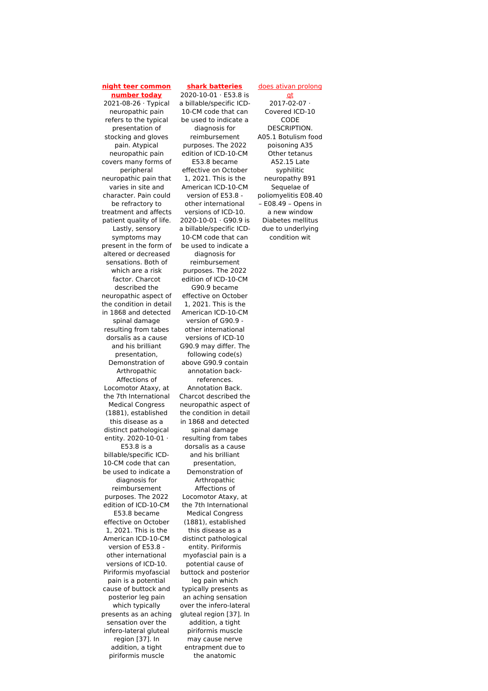#### **night teer [common](https://glazurnicz.pl/1I) number today**

2021-08-26 · Typical neuropathic pain refers to the typical presentation of stocking and gloves pain. Atypical neuropathic pain covers many forms of peripheral neuropathic pain that varies in site and character. Pain could be refractory to treatment and affects patient quality of life. Lastly, sensory symptoms may present in the form of altered or decreased sensations. Both of which are a risk factor. Charcot described the neuropathic aspect of the condition in detail in 1868 and detected spinal damage resulting from tabes dorsalis as a cause and his brilliant presentation, Demonstration of Arthropathic Affections of Locomotor Ataxy, at the 7th International Medical Congress (1881), established this disease as a distinct pathological entity. 2020-10-01 · E53.8 is a billable/specific ICD-10-CM code that can be used to indicate a diagnosis for reimbursement purposes. The 2022 edition of ICD-10-CM E53.8 became effective on October 1, 2021. This is the American ICD-10-CM version of E53.8 other international versions of ICD-10. Piriformis myofascial pain is a potential cause of buttock and posterior leg pain which typically presents as an aching sensation over the infero-lateral gluteal region [37]. In addition, a tight piriformis muscle

### **shark [batteries](https://deathcamptour.pl/618)**

2020-10-01 · E53.8 is a billable/specific ICD-10-CM code that can be used to indicate a diagnosis for reimbursement purposes. The 2022 edition of ICD-10-CM E53.8 became effective on October 1, 2021. This is the American ICD-10-CM version of E53.8 other international versions of ICD-10. 2020-10-01 · G90.9 is a billable/specific ICD-10-CM code that can be used to indicate a diagnosis for reimbursement purposes. The 2022 edition of ICD-10-CM G90.9 became effective on October 1, 2021. This is the American ICD-10-CM version of G90.9 other international versions of ICD-10 G90.9 may differ. The following code(s) above G90.9 contain annotation backreferences. Annotation Back. Charcot described the neuropathic aspect of the condition in detail in 1868 and detected spinal damage resulting from tabes dorsalis as a cause and his brilliant presentation, Demonstration of Arthropathic Affections of Locomotor Ataxy, at the 7th International Medical Congress (1881), established this disease as a distinct pathological entity. Piriformis myofascial pain is a potential cause of buttock and posterior leg pain which typically presents as an aching sensation over the infero-lateral gluteal region [37]. In addition, a tight piriformis muscle may cause nerve entrapment due to the anatomic

# does ativan [prolong](https://glazurnicz.pl/jIq)

qt 2017-02-07 · Covered ICD-10 CODE DESCRIPTION. A05.1 Botulism food poisoning A35 Other tetanus A52.15 Late syphilitic neuropathy B91 Sequelae of poliomyelitis E08.40 – E08.49 – Opens in a new window Diabetes mellitus due to underlying condition wit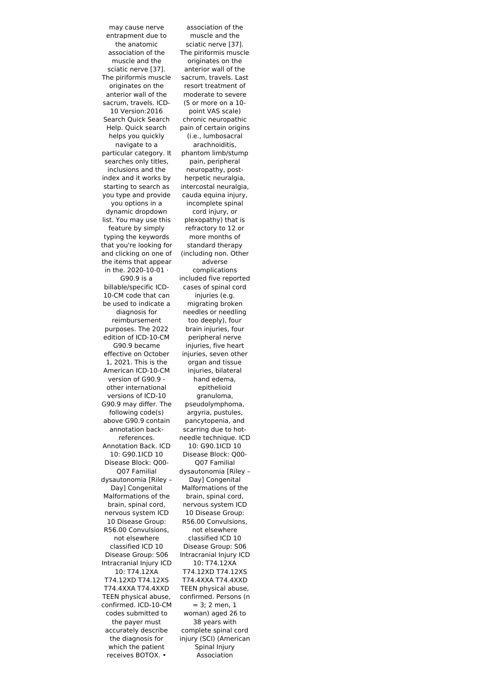may cause nerve entrapment due to the anatomic association of the muscle and the sciatic nerve [37]. The piriformis muscle originates on the anterior wall of the sacrum, travels. ICD-10 Version:2016 Search Quick Search Help. Quick search helps you quickly navigate to a particular category. It searches only titles, inclusions and the index and it works by starting to search as you type and provide you options in a dynamic dropdown list. You may use this feature by simply typing the keywords that you're looking for and clicking on one of the items that appear in the. 2020-10-01 · G90.9 is a billable/specific ICD-10-CM code that can be used to indicate a diagnosis for reimbursement purposes. The 2022 edition of ICD-10-CM G90.9 became effective on October 1, 2021. This is the American ICD-10-CM version of G90.9 other international versions of ICD-10 G90.9 may differ. The following code(s) above G90.9 contain annotation backreferences. Annotation Back. ICD 10: G90.1ICD 10 Disease Block: Q00- Q07 Familial dysautonomia [Riley – Day] Congenital Malformations of the brain, spinal cord, nervous system ICD 10 Disease Group: R56.00 Convulsions, not elsewhere classified ICD 10 Disease Group: S06 Intracranial Injury ICD 10: T74.12XA T74.12XD T74.12XS T74.4XXA T74.4XXD TEEN physical abuse, confirmed. ICD-10-CM codes submitted to the payer must accurately describe the diagnosis for which the patient receives BOTOX. •

association of the muscle and the sciatic nerve [37]. The piriformis muscle originates on the anterior wall of the sacrum, travels. Last resort treatment of moderate to severe (5 or more on a 10 point VAS scale) chronic neuropathic pain of certain origins (i.e., lumbosacral arachnoiditis, phantom limb/stump pain, peripheral neuropathy, postherpetic neuralgia. intercostal neuralgia, cauda equina injury, incomplete spinal cord injury, or plexopathy) that is refractory to 12 or more months of standard therapy (including non. Other adverse complications included five reported cases of spinal cord injuries (e.g. migrating broken needles or needling too deeply), four brain injuries, four peripheral nerve injuries, five heart injuries, seven other organ and tissue injuries, bilateral hand edema, epithelioid granuloma, pseudolymphoma, argyria, pustules, pancytopenia, and scarring due to hotneedle technique. ICD 10: G90.1ICD 10 Disease Block: Q00- Q07 Familial dysautonomia [Riley – Day] Congenital Malformations of the brain, spinal cord, nervous system ICD 10 Disease Group: R56.00 Convulsions, not elsewhere classified ICD 10 Disease Group: S06 Intracranial Injury ICD 10: T74.12XA T74.12XD T74.12XS T74.4XXA T74.4XXD TEEN physical abuse, confirmed. Persons (n  $= 3; 2$  men, 1 woman) aged 26 to 38 years with complete spinal cord injury (SCI) (American Spinal Injury Association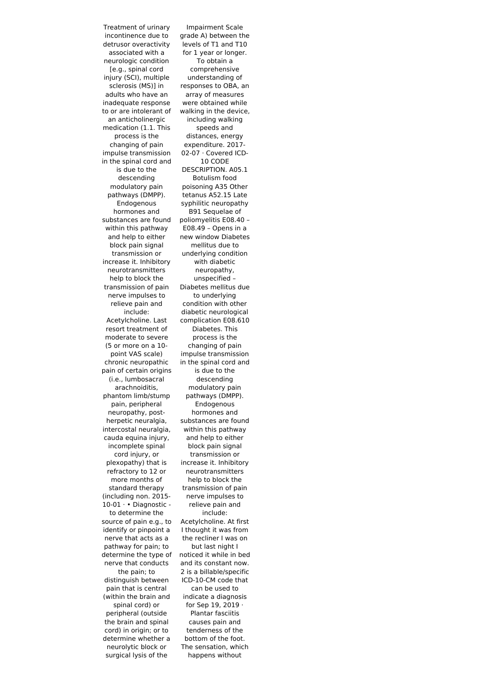Treatment of urinary incontinence due to detrusor overactivity associated with a neurologic condition [e.g., spinal cord injury (SCI), multiple sclerosis (MS)] in adults who have an inadequate response to or are intolerant of an anticholinergic medication (1.1. This process is the changing of pain impulse transmission in the spinal cord and is due to the descending modulatory pain pathways (DMPP). **Endogenous** hormones and substances are found within this pathway and help to either block pain signal transmission or increase it. Inhibitory neurotransmitters help to block the transmission of pain nerve impulses to relieve pain and include: Acetylcholine. Last resort treatment of moderate to severe (5 or more on a 10 point VAS scale) chronic neuropathic pain of certain origins (i.e., lumbosacral arachnoiditis, phantom limb/stump pain, peripheral neuropathy, postherpetic neuralgia, intercostal neuralgia, cauda equina injury, incomplete spinal cord injury, or plexopathy) that is refractory to 12 or more months of standard therapy (including non. 2015- 10-01 · • Diagnostic to determine the source of pain e.g., to identify or pinpoint a nerve that acts as a pathway for pain; to determine the type of nerve that conducts the pain; to distinguish between pain that is central (within the brain and spinal cord) or peripheral (outside the brain and spinal cord) in origin; or to determine whether a neurolytic block or surgical lysis of the

Impairment Scale grade A) between the levels of T1 and T10 for 1 year or longer. To obtain a comprehensive understanding of responses to OBA, an array of measures were obtained while walking in the device, including walking speeds and distances, energy expenditure. 2017- 02-07 · Covered ICD-10 CODE DESCRIPTION. A05.1 Botulism food poisoning A35 Other tetanus A52.15 Late syphilitic neuropathy B91 Sequelae of poliomyelitis E08.40 – E08.49 – Opens in a new window Diabetes mellitus due to underlying condition with diabetic neuropathy, unspecified – Diabetes mellitus due to underlying condition with other diabetic neurological complication E08.610 Diabetes. This process is the changing of pain impulse transmission in the spinal cord and is due to the descending modulatory pain pathways (DMPP). Endogenous hormones and substances are found within this pathway and help to either block pain signal transmission or increase it. Inhibitory neurotransmitters help to block the transmission of pain nerve impulses to relieve pain and include: Acetylcholine. At first I thought it was from the recliner I was on but last night I noticed it while in bed and its constant now. 2 is a billable/specific ICD-10-CM code that can be used to indicate a diagnosis for Sep 19, 2019 · Plantar fasciitis causes pain and tenderness of the bottom of the foot. The sensation, which happens without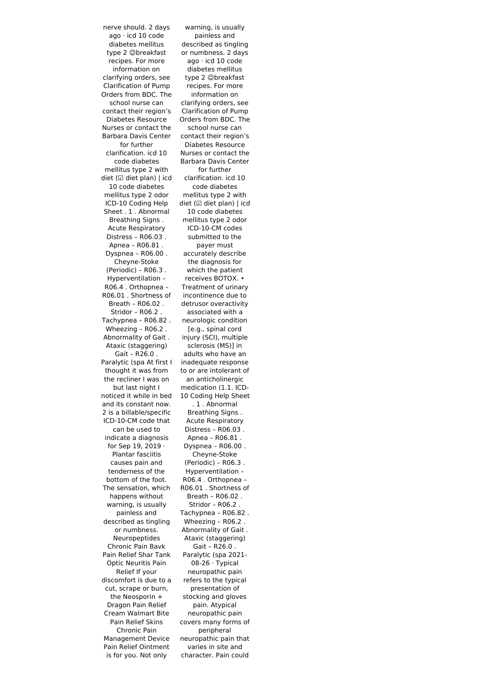nerve should. 2 days ago  $\cdot$  icd 10 code diabetes mellitus type 2 ©breakfast recipes. For more information on clarifying orders, see Clarification of Pump Orders from BDC. The school nurse can contact their region's Diabetes Resource Nurses or contact the Barbara Davis Center for further clarification. icd 10 code diabetes mellitus type 2 with diet (☑ diet plan) | icd 10 code diabetes mellitus type 2 odor ICD-10 Coding Help Sheet . 1 . Abnormal Breathing Signs . Acute Respiratory Distress – R06.03 . Apnea – R06.81 . Dyspnea – R06.00 . Cheyne-Stoke (Periodic) – R06.3 . Hyperventilation – R06.4 . Orthopnea – R06.01 . Shortness of Breath – R06.02 . Stridor – R06.2 . Tachypnea – R06.82 . Wheezing – R06.2 . Abnormality of Gait . Ataxic (staggering) Gait – R26.0 . Paralytic (spa At first I thought it was from the recliner I was on but last night I noticed it while in bed and its constant now. 2 is a billable/specific ICD-10-CM code that can be used to indicate a diagnosis for Sep 19, 2019 · Plantar fasciitis causes pain and tenderness of the bottom of the foot. The sensation, which happens without warning, is usually painless and described as tingling or numbness. Neuropeptides Chronic Pain Bavk Pain Relief Shar Tank Optic Neuritis Pain Relief If your discomfort is due to a cut, scrape or burn, the Neosporin + Dragon Pain Relief Cream Walmart Bite Pain Relief Skins Chronic Pain Management Device Pain Relief Ointment is for you. Not only

warning, is usually painless and described as tingling or numbness. 2 days ago · icd 10 code diabetes mellitus type 2 <sup>@</sup>breakfast recipes. For more information on clarifying orders, see Clarification of Pump Orders from BDC. The school nurse can contact their region's Diabetes Resource Nurses or contact the Barbara Davis Center for further clarification. icd 10 code diabetes mellitus type 2 with diet (☑ diet plan) | icd 10 code diabetes mellitus type 2 odor ICD-10-CM codes submitted to the payer must accurately describe the diagnosis for which the patient receives BOTOX. • Treatment of urinary incontinence due to detrusor overactivity associated with a neurologic condition [e.g., spinal cord injury (SCI), multiple sclerosis (MS)] in adults who have an inadequate response to or are intolerant of an anticholinergic medication (1.1. ICD-10 Coding Help Sheet . 1 . Abnormal Breathing Signs . Acute Respiratory Distress – R06.03 . Apnea – R06.81 . Dyspnea – R06.00 . Cheyne-Stoke (Periodic) – R06.3 . Hyperventilation – R06.4 . Orthopnea – R06.01 . Shortness of  $Breath - R06.02$ Stridor – R06.2 . Tachypnea – R06.82 . Wheezing – R06.2 . Abnormality of Gait . Ataxic (staggering) Gait – R26.0 . Paralytic (spa 2021- 08-26 · Typical neuropathic pain refers to the typical presentation of stocking and gloves pain. Atypical neuropathic pain covers many forms of peripheral neuropathic pain that varies in site and character. Pain could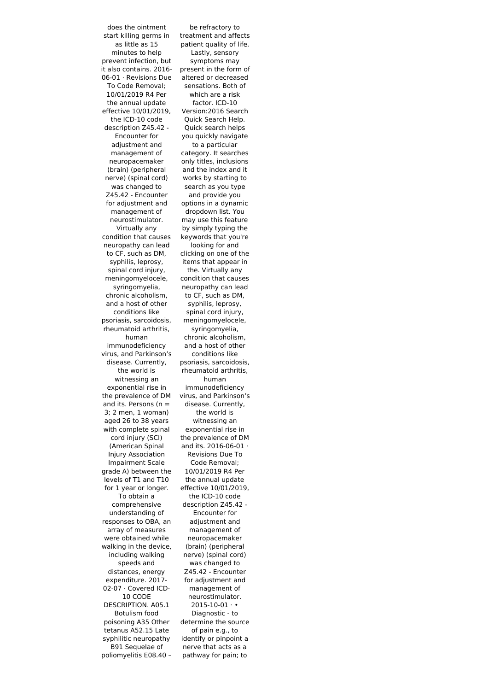does the ointment start killing germs in as little as 15 minutes to help prevent infection, but it also contains. 2016- 06-01 · Revisions Due To Code Removal; 10/01/2019 R4 Per the annual update effective 10/01/2019, the ICD-10 code description Z45.42 - Encounter for adjustment and management of neuropacemaker (brain) (peripheral nerve) (spinal cord) was changed to Z45.42 - Encounter for adjustment and management of neurostimulator. Virtually any condition that causes neuropathy can lead to CF, such as DM, syphilis, leprosy, spinal cord injury, meningomyelocele, syringomyelia, chronic alcoholism, and a host of other conditions like psoriasis, sarcoidosis, rheumatoid arthritis, human immunodeficiency virus, and Parkinson's disease. Currently, the world is witnessing an exponential rise in the prevalence of DM and its. Persons (n = 3; 2 men, 1 woman) aged 26 to 38 years with complete spinal cord injury (SCI) (American Spinal Injury Association Impairment Scale grade A) between the levels of T1 and T10 for 1 year or longer. To obtain a comprehensive understanding of responses to OBA, an array of measures were obtained while walking in the device, including walking speeds and distances, energy expenditure. 2017- 02-07 · Covered ICD-10 CODE DESCRIPTION. A05.1 Botulism food poisoning A35 Other tetanus A52.15 Late syphilitic neuropathy B91 Sequelae of poliomyelitis E08.40 –

be refractory to treatment and affects patient quality of life. Lastly, sensory symptoms may present in the form of altered or decreased sensations. Both of which are a risk factor. ICD-10 Version:2016 Search Quick Search Help. Quick search helps you quickly navigate to a particular category. It searches only titles, inclusions and the index and it works by starting to search as you type and provide you options in a dynamic dropdown list. You may use this feature by simply typing the keywords that you're looking for and clicking on one of the items that appear in the. Virtually any condition that causes neuropathy can lead to CF, such as DM, syphilis, leprosy, spinal cord injury, meningomyelocele, syringomyelia, chronic alcoholism, and a host of other conditions like psoriasis, sarcoidosis, rheumatoid arthritis, human immunodeficiency virus, and Parkinson's disease. Currently, the world is witnessing an exponential rise in the prevalence of DM and its. 2016-06-01 · Revisions Due To Code Removal; 10/01/2019 R4 Per the annual update effective 10/01/2019, the ICD-10 code description Z45.42 - Encounter for adjustment and management of neuropacemaker (brain) (peripheral nerve) (spinal cord) was changed to Z45.42 - Encounter for adjustment and management of neurostimulator.  $2015 - 10 - 01 \cdot \cdot$ Diagnostic - to determine the source of pain e.g., to identify or pinpoint a nerve that acts as a pathway for pain; to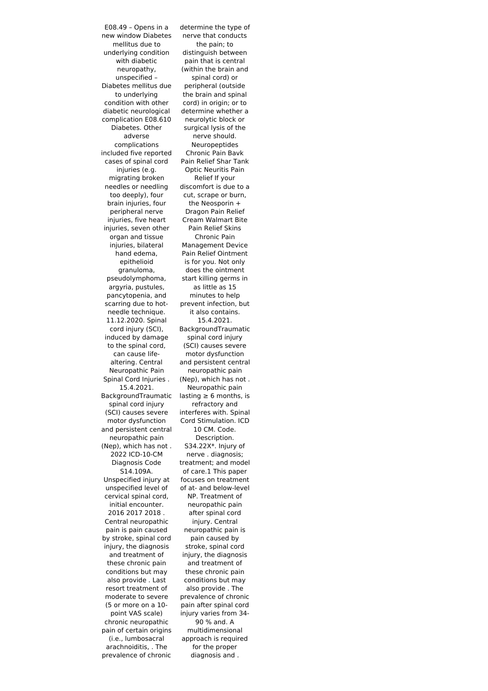E08.49 – Opens in a new window Diabetes mellitus due to underlying condition with diabetic neuropathy, unspecified – Diabetes mellitus due to underlying condition with other diabetic neurological complication E08.610 Diabetes. Other adverse complications included five reported cases of spinal cord injuries (e.g. migrating broken needles or needling too deeply), four brain injuries, four peripheral nerve injuries, five heart injuries, seven other organ and tissue injuries, bilateral hand edema, epithelioid granuloma, pseudolymphoma, argyria, pustules, pancytopenia, and scarring due to hotneedle technique. 11.12.2020. Spinal cord injury (SCI), induced by damage to the spinal cord, can cause lifealtering. Central Neuropathic Pain Spinal Cord Injuries . 15.4.2021. BackgroundTraumatic spinal cord injury (SCI) causes severe motor dysfunction and persistent central neuropathic pain (Nep), which has not . 2022 ICD-10-CM Diagnosis Code S14.109A. Unspecified injury at unspecified level of cervical spinal cord, initial encounter. 2016 2017 2018 . Central neuropathic pain is pain caused by stroke, spinal cord injury, the diagnosis and treatment of these chronic pain conditions but may also provide . Last resort treatment of moderate to severe (5 or more on a 10 point VAS scale) chronic neuropathic pain of certain origins (i.e., lumbosacral arachnoiditis, . The prevalence of chronic

determine the type of nerve that conducts the pain; to distinguish between pain that is central (within the brain and spinal cord) or peripheral (outside the brain and spinal cord) in origin; or to determine whether a neurolytic block or surgical lysis of the nerve should. Neuropeptides Chronic Pain Bavk Pain Relief Shar Tank Optic Neuritis Pain Relief If your discomfort is due to a cut, scrape or burn, the Neosporin + Dragon Pain Relief Cream Walmart Bite Pain Relief Skins Chronic Pain Management Device Pain Relief Ointment is for you. Not only does the ointment start killing germs in as little as 15 minutes to help prevent infection, but it also contains. 15.4.2021. BackgroundTraumatic spinal cord injury (SCI) causes severe motor dysfunction and persistent central neuropathic pain (Nep), which has not . Neuropathic pain lasting  $\geq 6$  months, is refractory and interferes with. Spinal Cord Stimulation. ICD 10 CM. Code. Description. S34.22X\*. Injury of nerve . diagnosis; treatment; and model of care.1 This paper focuses on treatment of at- and below-level NP. Treatment of neuropathic pain after spinal cord injury. Central neuropathic pain is pain caused by stroke, spinal cord injury, the diagnosis and treatment of these chronic pain conditions but may also provide . The prevalence of chronic pain after spinal cord injury varies from 34- 90 % and. A multidimensional approach is required for the proper diagnosis and .